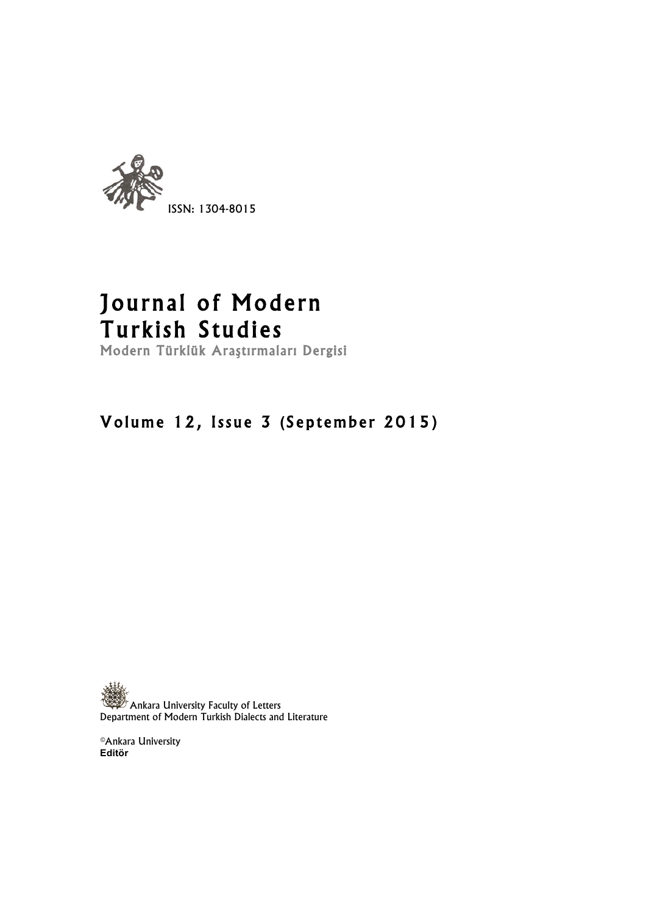

# Journal of Modern Turkish Studies<br>Modern Türklük Araştırmaları Dergisi

## Volume 12, Issue 3 (September 2015)

 $\mathbb{Z}^r$  Ankara University Faculty of Letters Department of Modern Turkish Dialects and Literature

©Ankara University **Editör**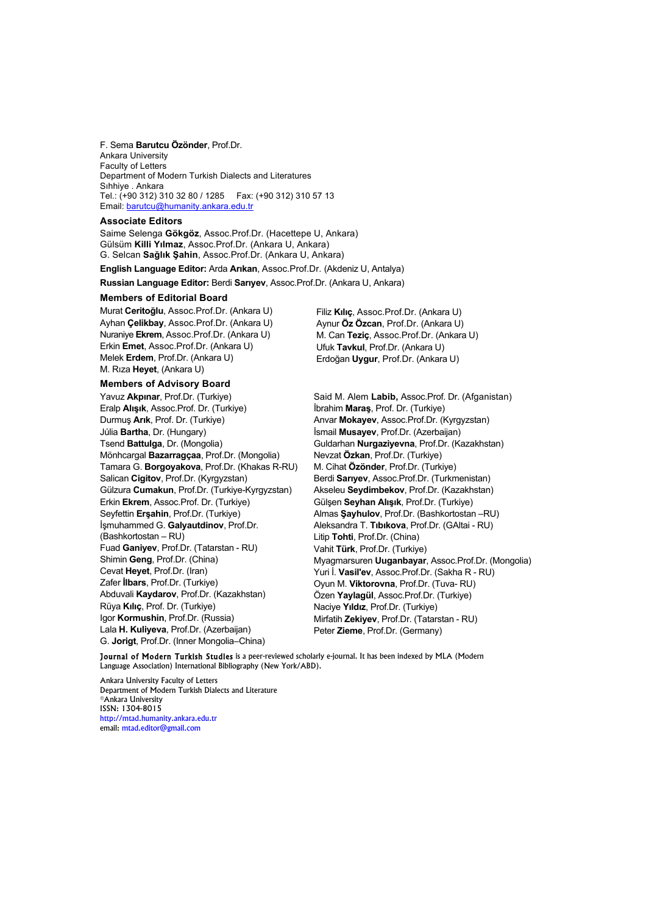F. Sema **Barutcu Özönder**, Prof.Dr. Ankara University Faculty of Letters Department of Modern Turkish Dialects and Literatures Sıhhiye . Ankara Tel.: (+90 312) 310 32 80 / 1285 Fax: (+90 312) 310 57 13 Email: barutcu@humanity.ankara.edu.tr

#### **Associate Editors**

Saime Selenga **Gökgöz**, Assoc.Prof.Dr. (Hacettepe U, Ankara) Gülsüm **Killi Yılmaz**, Assoc.Prof.Dr. (Ankara U, Ankara) G. Selcan **Sağlık Şahin**, Assoc.Prof.Dr. (Ankara U, Ankara)

**English Language Editor:** Arda **Arıkan**, Assoc.Prof.Dr. (Akdeniz U, Antalya)

**Russian Language Editor:** Berdi **Sarıyev**, Assoc.Prof.Dr. (Ankara U, Ankara)

#### **Members of Editorial Board**

Murat **Ceritoğlu**, Assoc.Prof.Dr. (Ankara U) Ayhan **Çelikbay**, Assoc.Prof.Dr. (Ankara U) Nuraniye **Ekrem**, Assoc.Prof.Dr. (Ankara U) Erkin **Emet**, Assoc.Prof.Dr. (Ankara U) Melek **Erdem**, Prof.Dr. (Ankara U) M. Rıza **Heyet**, (Ankara U)

#### **Members of Advisory Board**

Yavuz **Akpınar**, Prof.Dr. (Turkiye) Eralp **Alışık**, Assoc.Prof. Dr. (Turkiye) Durmuş **Arık**, Prof. Dr. (Turkiye) Júlia **Bartha**, Dr. (Hungary) Tsend **Battulga**, Dr. (Mongolia) Mönhcargal **Bazarragçaa**, Prof.Dr. (Mongolia) Tamara G. **Borgoyakova**, Prof.Dr. (Khakas R-RU) Salican **Cigitov**, Prof.Dr. (Kyrgyzstan) Gülzura **Cumakun**, Prof.Dr. (Turkiye-Kyrgyzstan) Erkin **Ekrem**, Assoc.Prof. Dr. (Turkiye) Seyfettin **Erşahin**, Prof.Dr. (Turkiye) İşmuhammed G. **Galyautdinov**, Prof.Dr. (Bashkortostan – RU) Fuad **Ganiyev**, Prof.Dr. (Tatarstan - RU) Shimin **Geng**, Prof.Dr. (China) Cevat **Heyet**, Prof.Dr. (Iran) Zafer **İlbars**, Prof.Dr. (Turkiye) Abduvali **Kaydarov**, Prof.Dr. (Kazakhstan) Rüya **Kılıç**, Prof. Dr. (Turkiye) Igor **Kormushin**, Prof.Dr. (Russia) Lala **H. Kuliyeva**, Prof.Dr. (Azerbaijan) G. **Jorigt**, Prof.Dr. (Inner Mongolia–China)

 Filiz **Kılıç**, Assoc.Prof.Dr. (Ankara U) Aynur **Öz Özcan**, Prof.Dr. (Ankara U) M. Can **Teziç**, Assoc.Prof.Dr. (Ankara U) Ufuk **Tavkul**, Prof.Dr. (Ankara U) Erdoğan **Uygur**, Prof.Dr. (Ankara U)

Said M. Alem **Labib,** Assoc.Prof. Dr. (Afganistan) İbrahim **Maraş**, Prof. Dr. (Turkiye) Anvar **Mokayev**, Assoc.Prof.Dr. (Kyrgyzstan) İsmail **Musayev**, Prof.Dr. (Azerbaijan) Guldarhan **Nurgaziyevna**, Prof.Dr. (Kazakhstan) Nevzat **Özkan**, Prof.Dr. (Turkiye) M. Cihat **Özönder**, Prof.Dr. (Turkiye) Berdi **Sarıyev**, Assoc.Prof.Dr. (Turkmenistan) Akseleu **Seydimbekov**, Prof.Dr. (Kazakhstan) Gülşen **Seyhan Alışık**, Prof.Dr. (Turkiye) Almas **Şayhulov**, Prof.Dr. (Bashkortostan –RU) Aleksandra T. **Tıbıkova**, Prof.Dr. (GAltai - RU) Litip **Tohti**, Prof.Dr. (China) Vahit **Türk**, Prof.Dr. (Turkiye) Myagmarsuren **Uuganbayar**, Assoc.Prof.Dr. (Mongolia) Yuri İ. **Vasil'ev**, Assoc.Prof.Dr. (Sakha R - RU) Oyun M. **Viktorovna**, Prof.Dr. (Tuva- RU) Özen **Yaylagül**, Assoc.Prof.Dr. (Turkiye) Naciye **Yıldız**, Prof.Dr. (Turkiye) Mirfatih **Zekiyev**, Prof.Dr. (Tatarstan - RU) Peter **Zieme**, Prof.Dr. (Germany)

Journal of Modern Turkish Studies is a peer-reviewed scholarly e-journal. It has been indexed by MLA (Modern Language Association) International Bibliography (New York/ABD).

Ankara University Faculty of Letters Department of Modern Turkish Dialects and Literature ©Ankara University ISSN: 1304-8015 http://mtad.humanity.ankara.edu.tr email: mtad.editor@gmail.com